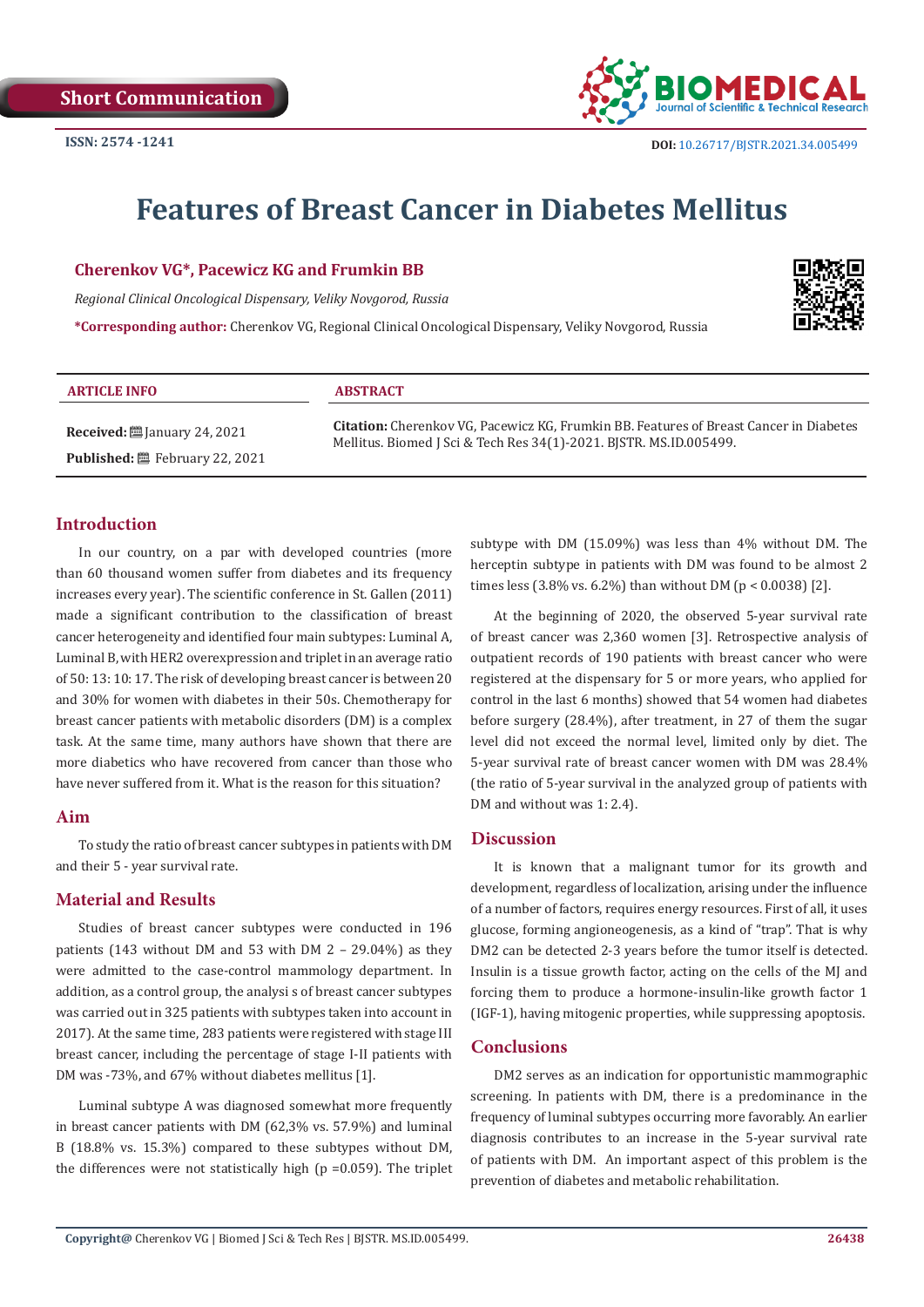**Short Communication**



# **Features of Breast Cancer in Diabetes Mellitus**

#### **Cherenkov VG\*, Pacewicz KG and Frumkin BB**

*Regional Clinical Oncological Dispensary, Veliky Novgorod, Russia*

**\*Corresponding author:** Cherenkov VG, Regional Clinical Oncological Dispensary, Veliky Novgorod, Russia



| <b>ARTICLE INFO</b>                            | <b>ABSTRACT</b>                                                                               |
|------------------------------------------------|-----------------------------------------------------------------------------------------------|
| <b>Received:</b> $\ddot{\Xi}$ January 24, 2021 | <b>Citation:</b> Cherenkov VG, Pacewicz KG, Frumkin BB. Features of Breast Cancer in Diabetes |
| <b>Published:</b> 巴 February 22, 2021          | Mellitus. Biomed J Sci & Tech Res 34(1)-2021. BISTR. MS.ID.005499.                            |

# **Introduction**

In our country, on a par with developed countries (more than 60 thousand women suffer from diabetes and its frequency increases every year). The scientific conference in St. Gallen (2011) made a significant contribution to the classification of breast cancer heterogeneity and identified four main subtypes: Luminal А, Luminal B, with HER2 overexpression and triplet in an average ratio of 50: 13: 10: 17. The risk of developing breast cancer is between 20 and 30% for women with diabetes in their 50s. Chemotherapy for breast cancer patients with metabolic disorders (DM) is a complex task. At the same time, many authors have shown that there are more diabetics who have recovered from cancer than those who have never suffered from it. What is the reason for this situation?

## **Aim**

To study the ratio of breast cancer subtypes in patients with DM and their 5 - year survival rate.

# **Material and Results**

Studies of breast cancer subtypes were conducted in 196 patients (143 without DM and 53 with DM 2 – 29.04%) as they were admitted to the case-control mammology department. In addition, as a control group, the analysi s of breast cancer subtypes was carried out in 325 patients with subtypes taken into account in 2017). At the same time, 283 patients were registered with stage III breast cancer, including the percentage of stage I-II patients with DM was -73%, and 67% without diabetes mellitus [1].

Luminal subtype A was diagnosed somewhat more frequently in breast cancer patients with DM (62,3% vs. 57.9%) and luminal B (18.8% vs. 15.3%) compared to these subtypes without DM, the differences were not statistically high ( $p = 0.059$ ). The triplet subtype with DM (15.09%) was less than 4% without DM. The herceptin subtype in patients with DM was found to be almost 2 times less  $(3.8\% \text{ vs. } 6.2\%)$  than without DM  $(p < 0.0038)$  [2].

At the beginning of 2020, the observed 5-year survival rate of breast cancer was 2,360 women [3]. Retrospective analysis of outpatient records of 190 patients with breast cancer who were registered at the dispensary for 5 or more years, who applied for control in the last 6 months) showed that 54 women had diabetes before surgery (28.4%), after treatment, in 27 of them the sugar level did not exceed the normal level, limited only by diet. The 5-year survival rate of breast cancer women with DM was 28.4% (the ratio of 5-year survival in the analyzed group of patients with DM and without was 1: 2.4).

#### **Discussion**

It is known that a malignant tumor for its growth and development, regardless of localization, arising under the influence of a number of factors, requires energy resources. First of all, it uses glucose, forming angioneogenesis, as a kind of "trap". That is why DM2 can be detected 2-3 years before the tumor itself is detected. Insulin is a tissue growth factor, acting on the cells of the MJ and forcing them to produce a hormone-insulin-like growth factor 1 (IGF-1), having mitogenic properties, while suppressing apoptosis.

## **Conclusions**

DM2 serves as an indication for opportunistic mammographic screening. In patients with DM, there is a predominance in the frequency of luminal subtypes occurring more favorably. An earlier diagnosis contributes to an increase in the 5-year survival rate of patients with DM. An important aspect of this problem is the prevention of diabetes and metabolic rehabilitation.